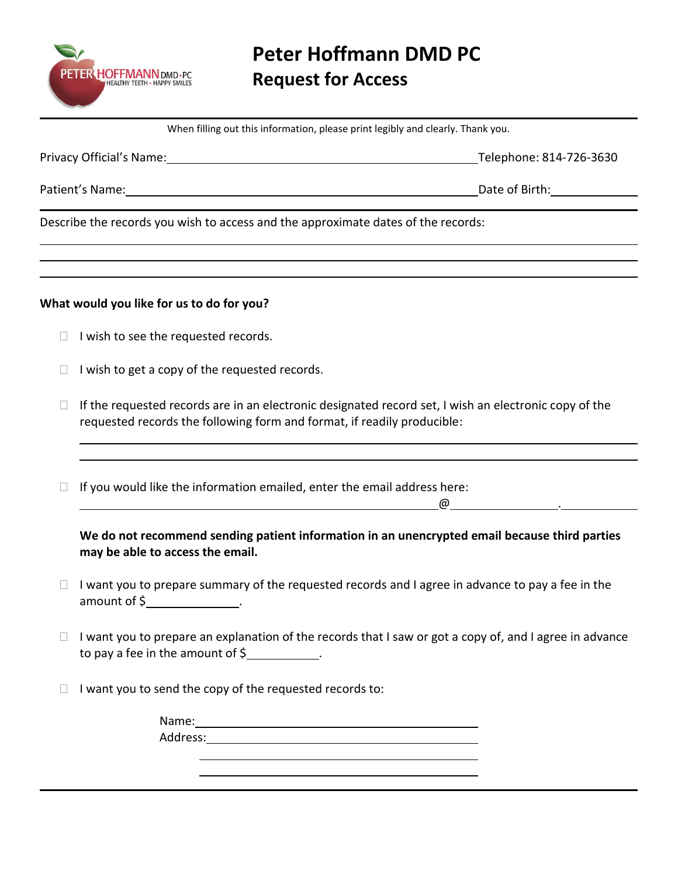

When filling out this information, please print legibly and clearly. Thank you.

Privacy Official's Name: 1988 and 2008 and 2012 and 2013 and 2014 and 2014 and 2014 and 2014 and 2014 and 2015

Patient's Name: Name: Date of Birth: Date of Birth: Date of Birth: Date of Birth: Date of Birth: Date of Birth:  $\sim$  Date of Birth:  $\sim$  Date of Birth:  $\sim$  Date of Birth:  $\sim$  Date of Birth:  $\sim$  Date of Birth:  $\sim$  Date

Describe the records you wish to access and the approximate dates of the records:

# **What would you like for us to do for you?**

- $\Box$  I wish to see the requested records.
- $\Box$  I wish to get a copy of the requested records.
- $\Box$  If the requested records are in an electronic designated record set, I wish an electronic copy of the requested records the following form and format, if readily producible:

 $\Box$  If you would like the information emailed, enter the email address here:

@ .

**We do not recommend sending patient information in an unencrypted email because third parties may be able to access the email.** 

- $\Box$  I want you to prepare summary of the requested records and I agree in advance to pay a fee in the amount of  $\frac{1}{2}$  .
- $\Box$  I want you to prepare an explanation of the records that I saw or got a copy of, and I agree in advance to pay a fee in the amount of \$ .

 $\Box$  I want you to send the copy of the requested records to:

Name: Address: